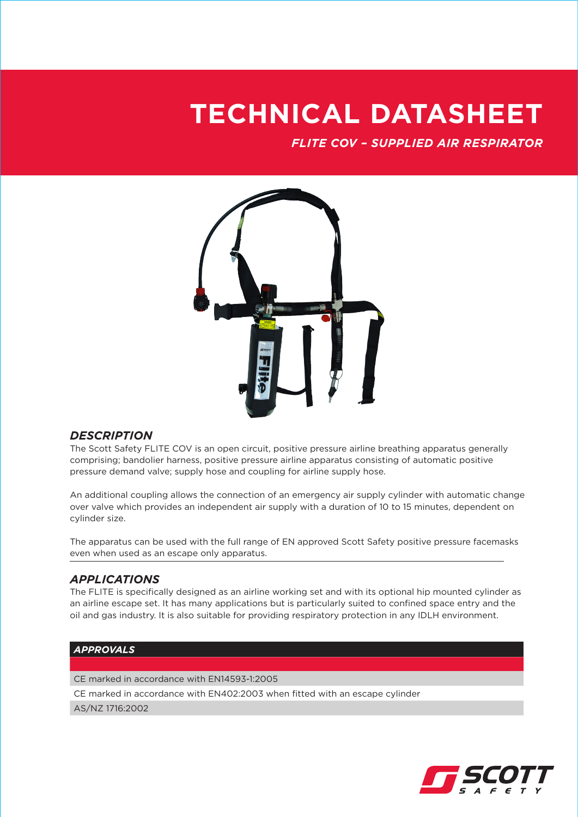## **TECHNICAL DATASHEET**

*FLITE COV – SUPPLIED AIR RESPIRATOR*



## *DESCRIPTION*

The Scott Safety FLITE COV is an open circuit, positive pressure airline breathing apparatus generally comprising; bandolier harness, positive pressure airline apparatus consisting of automatic positive pressure demand valve; supply hose and coupling for airline supply hose.

An additional coupling allows the connection of an emergency air supply cylinder with automatic change over valve which provides an independent air supply with a duration of 10 to 15 minutes, dependent on cylinder size.

The apparatus can be used with the full range of EN approved Scott Safety positive pressure facemasks even when used as an escape only apparatus.

## *APPLICATIONS*

The FLITE is specifically designed as an airline working set and with its optional hip mounted cylinder as an airline escape set. It has many applications but is particularly suited to confined space entry and the oil and gas industry. It is also suitable for providing respiratory protection in any IDLH environment.

### *APPROVALS*

CE marked in accordance with EN14593-1:2005

CE marked in accordance with EN402:2003 when fitted with an escape cylinder

AS/NZ 1716:2002

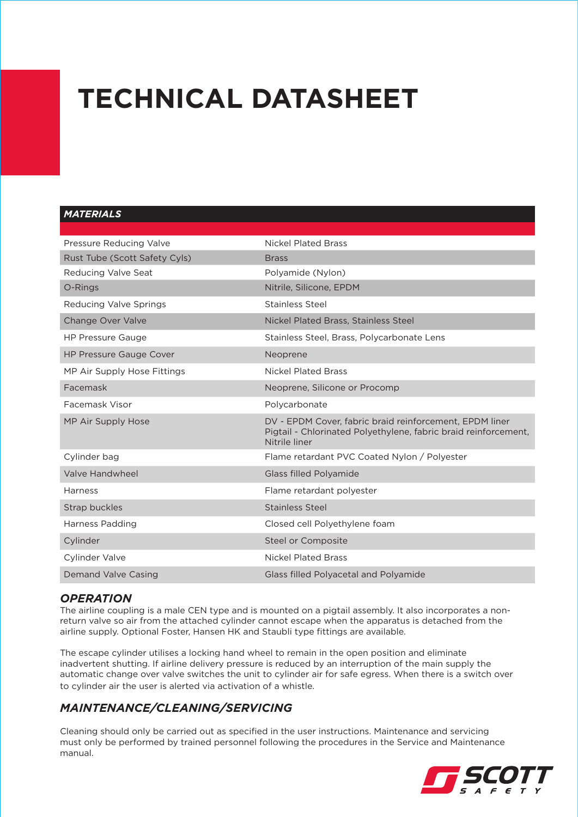# **TECHNICAL DATASHEET**

## *MATERIALS*

| Pressure Reducing Valve        | <b>Nickel Plated Brass</b>                                                                                                                  |
|--------------------------------|---------------------------------------------------------------------------------------------------------------------------------------------|
| Rust Tube (Scott Safety Cyls)  | <b>Brass</b>                                                                                                                                |
| Reducing Valve Seat            | Polyamide (Nylon)                                                                                                                           |
| O-Rings                        | Nitrile, Silicone, EPDM                                                                                                                     |
| Reducing Valve Springs         | <b>Stainless Steel</b>                                                                                                                      |
| <b>Change Over Valve</b>       | <b>Nickel Plated Brass, Stainless Steel</b>                                                                                                 |
| <b>HP Pressure Gauge</b>       | Stainless Steel, Brass, Polycarbonate Lens                                                                                                  |
| <b>HP Pressure Gauge Cover</b> | Neoprene                                                                                                                                    |
| MP Air Supply Hose Fittings    | Nickel Plated Brass                                                                                                                         |
| Facemask                       | Neoprene, Silicone or Procomp                                                                                                               |
| Facemask Visor                 | Polycarbonate                                                                                                                               |
| MP Air Supply Hose             | DV - EPDM Cover, fabric braid reinforcement, EPDM liner<br>Pigtail - Chlorinated Polyethylene, fabric braid reinforcement,<br>Nitrile liner |
| Cylinder bag                   | Flame retardant PVC Coated Nylon / Polyester                                                                                                |
| Valve Handwheel                | <b>Glass filled Polyamide</b>                                                                                                               |
| <b>Harness</b>                 | Flame retardant polyester                                                                                                                   |
| Strap buckles                  | <b>Stainless Steel</b>                                                                                                                      |
| Harness Padding                | Closed cell Polyethylene foam                                                                                                               |
| Cylinder                       | Steel or Composite                                                                                                                          |
| Cylinder Valve                 | <b>Nickel Plated Brass</b>                                                                                                                  |
| Demand Valve Casing            | Glass filled Polyacetal and Polyamide                                                                                                       |

## *OPERATION*

The airline coupling is a male CEN type and is mounted on a pigtail assembly. It also incorporates a nonreturn valve so air from the attached cylinder cannot escape when the apparatus is detached from the airline supply. Optional Foster, Hansen HK and Staubli type fittings are available.

The escape cylinder utilises a locking hand wheel to remain in the open position and eliminate inadvertent shutting. If airline delivery pressure is reduced by an interruption of the main supply the automatic change over valve switches the unit to cylinder air for safe egress. When there is a switch over to cylinder air the user is alerted via activation of a whistle.

## *MAINTENANCE/CLEANING/SERVICING*

Cleaning should only be carried out as specified in the user instructions. Maintenance and servicing must only be performed by trained personnel following the procedures in the Service and Maintenance manual.